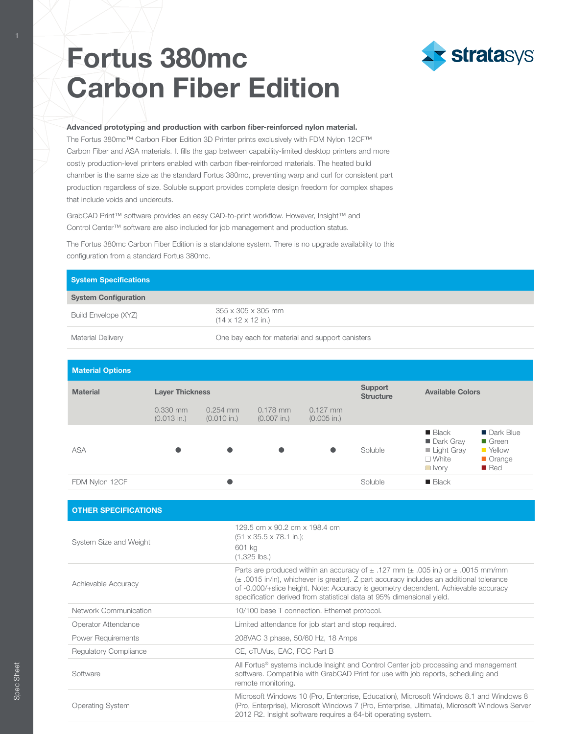# **Fortus 380mc Carbon Fiber Edition**



Advanced prototyping and production with carbon fiber-reinforced nylon material. The Fortus 380mc™ Carbon Fiber Edition 3D Printer prints exclusively with FDM Nylon 12CF™ Carbon Fiber and ASA materials. It fills the gap between capability-limited desktop printers and more costly production-level printers enabled with carbon fiber-reinforced materials. The heated build chamber is the same size as the standard Fortus 380mc, preventing warp and curl for consistent part production regardless of size. Soluble support provides complete design freedom for complex shapes that include voids and undercuts.

GrabCAD Print™ software provides an easy CAD-to-print workflow. However, Insight™ and Control Center™ software are also included for job management and production status.

The Fortus 380mc Carbon Fiber Edition is a standalone system. There is no upgrade availability to this configuration from a standard Fortus 380mc.

| <b>System Specifications</b> |                                                                          |  |  |  |  |
|------------------------------|--------------------------------------------------------------------------|--|--|--|--|
| <b>System Configuration</b>  |                                                                          |  |  |  |  |
| Build Envelope (XYZ)         | $355 \times 305 \times 305$ mm<br>$(14 \times 12 \times 12 \text{ in.})$ |  |  |  |  |
| Material Delivery            | One bay each for material and support canisters                          |  |  |  |  |

| <b>Material Options</b> |                             |                             |                             |                             |                             |                                                                                                |                                                                                              |  |  |
|-------------------------|-----------------------------|-----------------------------|-----------------------------|-----------------------------|-----------------------------|------------------------------------------------------------------------------------------------|----------------------------------------------------------------------------------------------|--|--|
| <b>Material</b>         | <b>Layer Thickness</b>      |                             |                             |                             | Support<br><b>Structure</b> |                                                                                                | <b>Available Colors</b>                                                                      |  |  |
|                         | $0.330$ mm<br>$(0.013$ in.) | $0.254$ mm<br>$(0.010$ in.) | $0.178$ mm<br>$(0.007$ in.) | $0.127$ mm<br>$(0.005$ in.) |                             |                                                                                                |                                                                                              |  |  |
| <b>ASA</b>              |                             |                             | $\bullet$                   | $\bullet$                   | Soluble                     | $\blacksquare$ Black<br>Dark Gray<br>$\blacksquare$ Light Gray<br>$\Box$ White<br>$\Box$ Ivory | <b>Dark Blue</b><br>$\blacksquare$ Green<br><b>No Yellow</b><br>Orange<br>$\blacksquare$ Red |  |  |
| FDM Nylon 12CF          |                             |                             |                             |                             | Soluble                     | $\blacksquare$ Black                                                                           |                                                                                              |  |  |

| <b>OTHER SPECIFICATIONS</b>  |                                                                                                                                                                                                                                                                                                                                                              |
|------------------------------|--------------------------------------------------------------------------------------------------------------------------------------------------------------------------------------------------------------------------------------------------------------------------------------------------------------------------------------------------------------|
| System Size and Weight       | 129.5 cm x 90.2 cm x 198.4 cm<br>$(51 \times 35.5 \times 78.1 \text{ in.})$ ;<br>601 kg<br>$(1,325$ lbs.)                                                                                                                                                                                                                                                    |
| Achievable Accuracy          | Parts are produced within an accuracy of $\pm$ .127 mm ( $\pm$ .005 in.) or $\pm$ .0015 mm/mm<br>$(\pm$ .0015 in/in), whichever is greater). Z part accuracy includes an additional tolerance<br>of -0.000/+slice height. Note: Accuracy is geometry dependent. Achievable accuracy<br>specification derived from statistical data at 95% dimensional yield. |
| Network Communication        | 10/100 base T connection. Ethernet protocol.                                                                                                                                                                                                                                                                                                                 |
| Operator Attendance          | Limited attendance for job start and stop required.                                                                                                                                                                                                                                                                                                          |
| <b>Power Requirements</b>    | 208VAC 3 phase, 50/60 Hz, 18 Amps                                                                                                                                                                                                                                                                                                                            |
| <b>Regulatory Compliance</b> | CE, cTUVus, EAC, FCC Part B                                                                                                                                                                                                                                                                                                                                  |
| Software                     | All Fortus® systems include Insight and Control Center job processing and management<br>software. Compatible with GrabCAD Print for use with job reports, scheduling and<br>remote monitoring.                                                                                                                                                               |
| <b>Operating System</b>      | Microsoft Windows 10 (Pro, Enterprise, Education), Microsoft Windows 8.1 and Windows 8<br>(Pro, Enterprise), Microsoft Windows 7 (Pro, Enterprise, Ultimate), Microsoft Windows Server<br>2012 R2. Insight software requires a 64-bit operating system.                                                                                                      |